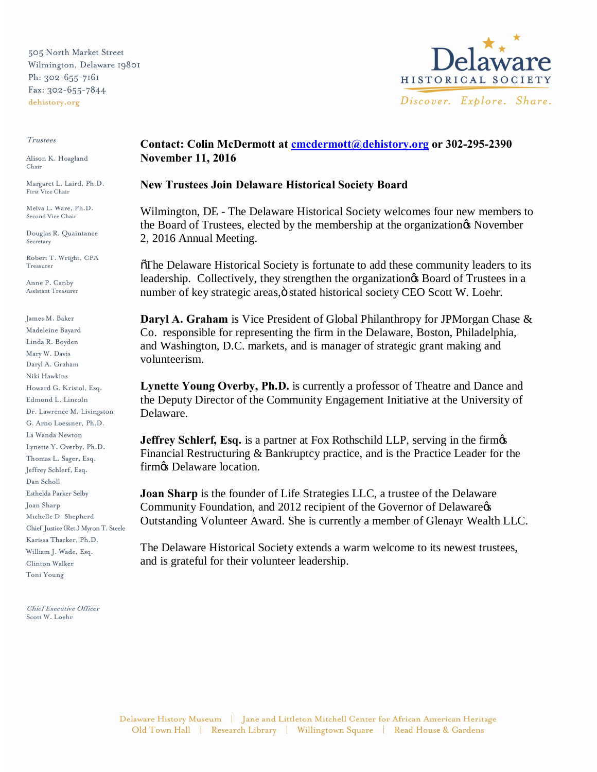505 North Market Street Wilmington, Delaware 19801 Ph: 302-655-7161 Fax: 302-655-7844 dehistory.org

#### Trustees

Alison K. Hoagland Chair

Margaret L. Laird, Ph.D. First Vice Chair

Melva L. Ware, Ph.D. Second Vice Chair

Douglas R. Quaintance Secretary

Robert T. Wright, CPA Treasurer

Anne P. Canby Assistant Treasurer

James M. Baker Madeleine Bayard Linda R. Boyden Mary W. Davis Daryl A. Graham Niki Hawkins Howard G. Kristol, Esq. Edmond L. Lincoln Dr. Lawrence M. Livingston G. Arno Loessner, Ph.D. La Wanda Newton Lynette Y. Overby, Ph.D. Thomas L. Sager, Esq. Jeffrey Schlerf, Esq. Dan Scholl Esthelda Parker Selby Joan Sharp Michelle D. Shepherd Chief Justice (Ret.) Myron T. Steele Karissa Thacker, Ph.D. William J. Wade, Esq.  $\rm Clinton$  Walker Toni Young

Chief Executive Officer Scott W. Loehr



# **Contact: Colin McDermott at cmcdermott@dehistory.org or 302-295-2390 November 11, 2016**

## **New Trustees Join Delaware Historical Society Board**

Wilmington, DE - The Delaware Historical Society welcomes four new members to the Board of Trustees, elected by the membership at the organization & November 2, 2016 Annual Meeting.

"The Delaware Historical Society is fortunate to add these community leaders to its leadership. Collectively, they strengthen the organization & Board of Trustees in a number of key strategic areas, ö stated historical society CEO Scott W. Loehr.

**Daryl A. Graham** is Vice President of Global Philanthropy for JPMorgan Chase & Co. responsible for representing the firm in the Delaware, Boston, Philadelphia, and Washington, D.C. markets, and is manager of strategic grant making and volunteerism.

**Lynette Young Overby, Ph.D.** is currently a professor of Theatre and Dance and the Deputy Director of the Community Engagement Initiative at the University of Delaware.

**Jeffrey Schlerf, Esq.** is a partner at Fox Rothschild LLP, serving in the firmos Financial Restructuring & Bankruptcy practice, and is the Practice Leader for the firm $\&$  Delaware location.

**Joan Sharp** is the founder of Life Strategies LLC, a trustee of the Delaware Community Foundation, and 2012 recipient of the Governor of Delaware  $\alpha$ Outstanding Volunteer Award. She is currently a member of Glenayr Wealth LLC.

The Delaware Historical Society extends a warm welcome to its newest trustees, and is grateful for their volunteer leadership.